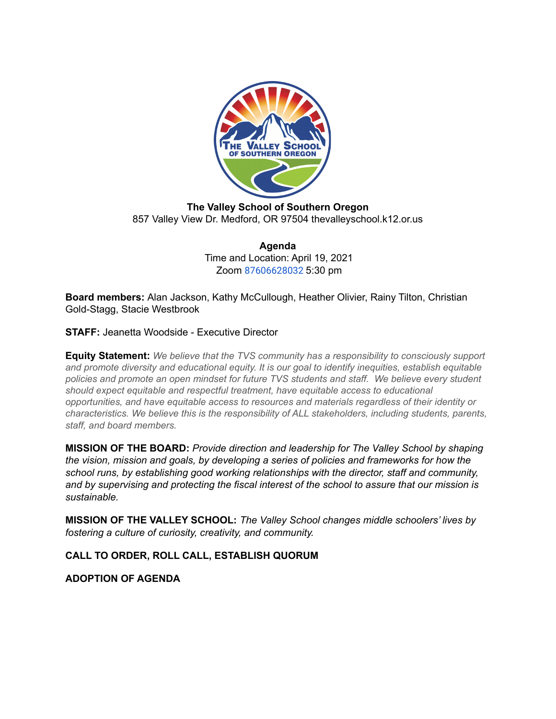

**The Valley School of Southern Oregon** 857 Valley View Dr. Medford, OR 97504 thevalleyschool.k12.or.us

> **Agenda** Time and Location: April 19, 2021 Zoom [87606628032](https://us02web.zoom.us/j/87606628032) 5:30 pm

**Board members:** Alan Jackson, Kathy McCullough, Heather Olivier, Rainy Tilton, Christian Gold-Stagg, Stacie Westbrook

**STAFF:** Jeanetta Woodside - Executive Director

**Equity Statement:** *We believe that the TVS community has a responsibility to consciously support and promote diversity and educational equity. It is our goal to identify inequities, establish equitable policies and promote an open mindset for future TVS students and staff. We believe every student should expect equitable and respectful treatment, have equitable access to educational opportunities, and have equitable access to resources and materials regardless of their identity or characteristics. We believe this is the responsibility of ALL stakeholders, including students, parents, staff, and board members.*

**MISSION OF THE BOARD:** *Provide direction and leadership for The Valley School by shaping the vision, mission and goals, by developing a series of policies and frameworks for how the school runs, by establishing good working relationships with the director, staff and community, and by supervising and protecting the fiscal interest of the school to assure that our mission is sustainable.*

**MISSION OF THE VALLEY SCHOOL:** *The Valley School changes middle schoolers' lives by fostering a culture of curiosity, creativity, and community.*

**CALL TO ORDER, ROLL CALL, ESTABLISH QUORUM**

**ADOPTION OF AGENDA**